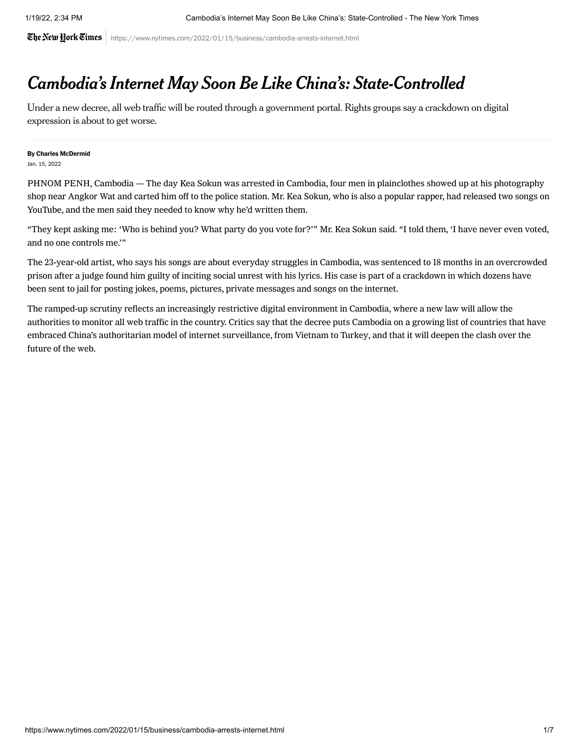The New Hork Times https://www.nytimes.com/2022/01/15/business/cambodia-arrests-internet.html

## Cambodia's Internet May Soon Be Like China's: State-Controlled

Under a new decree, all web traffic will be routed through a government portal. Rights groups say a crackdown on digital expression is about to get worse.

## By [Charles McDermid](https://www.nytimes.com/by/charles-mcdermid)

Jan. 15, 2022

PHNOM PENH, Cambodia — The day Kea Sokun was arrested in Cambodia, four men in plainclothes showed up at his photography shop near Angkor Wat and carted him off to the police station. Mr. Kea Sokun, who is also a popular rapper, had released two songs on YouTube, and the men said they needed to know why he'd written them.

"They kept asking me: 'Who is behind you? What party do you vote for?'" Mr. Kea Sokun said. "I told them, 'I have never even voted, and no one controls me.'"

The 23-year-old artist, who says his songs are about everyday struggles in Cambodia, was sentenced to 18 months in an overcrowded prison after a judge found him guilty of inciting social unrest with his lyrics. His case is part of a crackdown in which dozens have been sent to jail for posting jokes, poems, pictures, private messages and songs on the internet.

The ramped-up scrutiny reflects an increasingly restrictive digital environment in Cambodia, where a new law will allow the authorities to monitor all web traffic in the country. Critics say that the decree puts Cambodia on a growing list of countries that have [embraced China's authoritarian model of internet surveillance, from Vietnam to Turkey, and that it will deepen the clash over the](https://www.nytimes.com/2020/07/02/technology/goodbye-to-the-wild-wild-web.html) future of the web.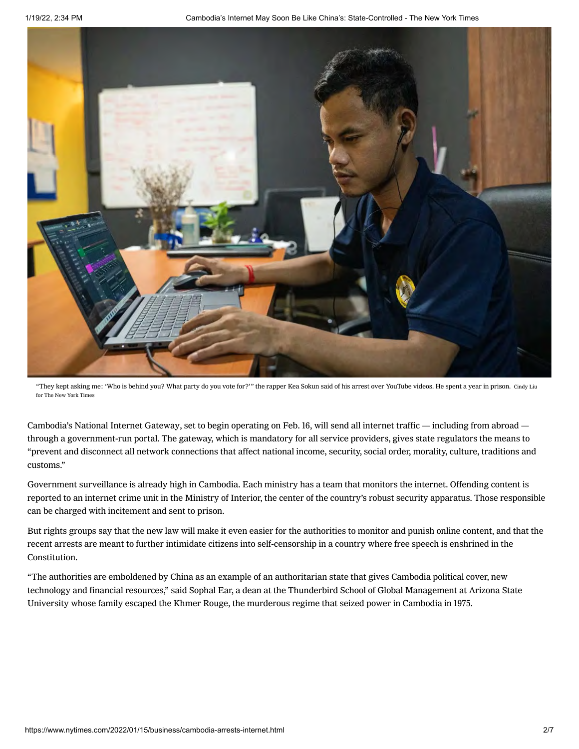

"They kept asking me: 'Who is behind you? What party do you vote for?'" the rapper Kea Sokun said of his arrest over YouTube videos. He spent a year in prison. Cindy Liu for The New York Times

Cambodia's [National Internet Gateway](https://apnews.com/article/asia-data-privacy-cambodia-censorship-hun-sen-e544f2fd7444c5ee38d4c12b051f3628), set to begin operating on Feb. 16, will send all internet traffic — including from abroad through a government-run portal. The gateway, which is mandatory for all service providers, gives state regulators the means to "prevent and disconnect all network connections that affect national income, security, social order, morality, culture, traditions and customs."

Government surveillance is already high in Cambodia. Each ministry has a team that monitors the internet. Offending content is reported to an internet crime unit in the Ministry of Interior, the center of the country's robust security apparatus. Those responsible can be charged with incitement and sent to prison.

But rights groups say that the new law will make it even easier for the authorities to monitor and punish online content, and that the recent arrests are meant to further intimidate citizens into self-censorship in a country where free speech is enshrined in the Constitution.

"The authorities are emboldened by China as an example of an authoritarian state that gives Cambodia political cover, new technology and financial resources," said Sophal Ear, a dean at the Thunderbird School of Global Management at Arizona State University whose family escaped the Khmer Rouge, the murderous regime that seized power in Cambodia in 1975.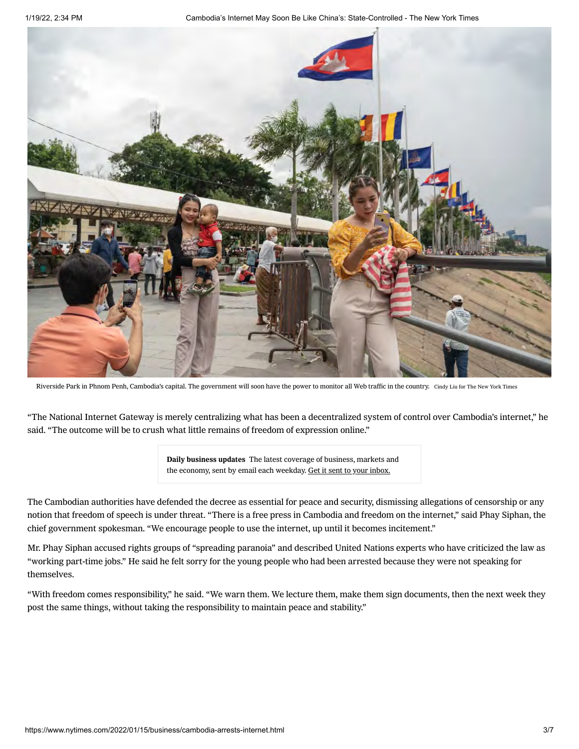1/19/22, 2:34 PM Cambodia's Internet May Soon Be Like China's: State-Controlled - The New York Times



Riverside Park in Phnom Penh, Cambodia's capital. The government will soon have the power to monitor all Web traffic in the country. Cindy Liu for The New York Times

"The National Internet Gateway is merely centralizing what has been a decentralized system of control over Cambodia's internet," he said. "The outcome will be to crush what little remains of freedom of expression online."

> Daily business updates The latest coverage of business, markets and the economy, sent by email each weekday. Get it sent to your inbox.

The Cambodian authorities have defended the decree as essential for peace and security, dismissing allegations of censorship or any notion that freedom of speech is under threat. "There is a free press in Cambodia and freedom on the internet," said Phay Siphan, the chief government spokesman. "We encourage people to use the internet, up until it becomes incitement."

Mr. Phay Siphan accused rights groups of "spreading paranoia" and described United Nations experts who have criticized the law as "working part-time jobs." He said he felt sorry for the young people who had been arrested because they were not speaking for themselves.

"With freedom comes responsibility," he said. "We warn them. We lecture them, make them sign documents, then the next week they post the same things, without taking the responsibility to maintain peace and stability."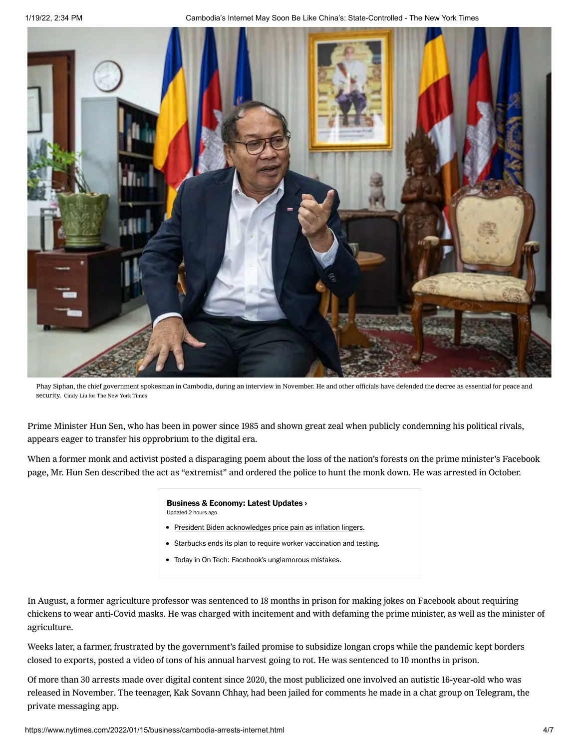1/19/22, 2:34 PM Cambodia's Internet May Soon Be Like China's: State-Controlled - The New York Times



Phay Siphan, the chief government spokesman in Cambodia, during an interview in November. He and other officials have defended the decree as essential for peace and security. Cindy Liu for The New York Times

Prime Minister Hun Sen, who has been in power since 1985 and shown great zeal when publicly condemning his political rivals, appears eager to transfer his opprobrium to the digital era.

When a former monk and activist posted a disparaging poem about the loss of the nation's forests on the prime minister's Facebook page, Mr. Hun Sen described the act as "extremist" and ordered the police to hunt the monk down. He was [arrested](https://www.rfa.org/english/news/cambodia/poem-10132021182725.html) in October.

## [Business & Economy: Latest Updates](https://www.nytimes.com/live/2022/01/19/business/stock-market-economy-news?name=styln-business-live®ion=MAIN_CONTENT_2&block=storyline_latest_updates_recirc&action=click&pgtype=Article&variant=show&index=0) ›

Updated 2 hours ago

- [President Biden acknowledges price pain as inflation lingers.](https://www.nytimes.com/live/2022/01/19/business/stock-market-economy-news?name=styln-business-live®ion=MAIN_CONTENT_2&block=storyline_latest_updates_recirc&action=click&pgtype=Article&variant=show&index=1#president-biden-will-speak-as-inflation-dogs-his-administration)
- [Starbucks ends its plan to require worker vaccination and testing.](https://www.nytimes.com/live/2022/01/19/business/stock-market-economy-news?name=styln-business-live®ion=MAIN_CONTENT_2&block=storyline_latest_updates_recirc&action=click&pgtype=Article&variant=show&index=1#starbucks-vaccine-mandate)
- [Today in On Tech: Facebook's unglamorous mistakes.](https://www.nytimes.com/live/2022/01/19/business/stock-market-economy-news?name=styln-business-live®ion=MAIN_CONTENT_2&block=storyline_latest_updates_recirc&action=click&pgtype=Article&variant=show&index=1#today-in-on-tech-facebooks-unglamorous-mistakes)

In August, a former agriculture professor was [sentenced to 18 months](https://www.khmertimeskh.com/50918892/professor-gets-18-years-jail-for-insult/) in prison for making jokes on Facebook about requiring chickens to wear anti-Covid masks. He was charged with incitement and with defaming the prime minister, as well as the minister of agriculture.

Weeks later, a farmer, frustrated by the government's failed promise [to subsidize longan crops](https://www.rfa.org/english/news/cambodia/longan-growers-09072021232322.html) while the pandemic kept borders closed to exports, posted a video of tons of his annual harvest going to rot. He was sentenced to 10 months in prison.

Of more than 30 arrests made over digital content since 2020, the most publicized one involved an autistic 16-year-old who was [released in November.](https://nypost.com/2021/11/10/autistic-cambodian-teen-jailed-for-online-comments-freed/) The teenager, Kak Sovann Chhay, had been jailed for comments he made in a chat group on Telegram, the private messaging app.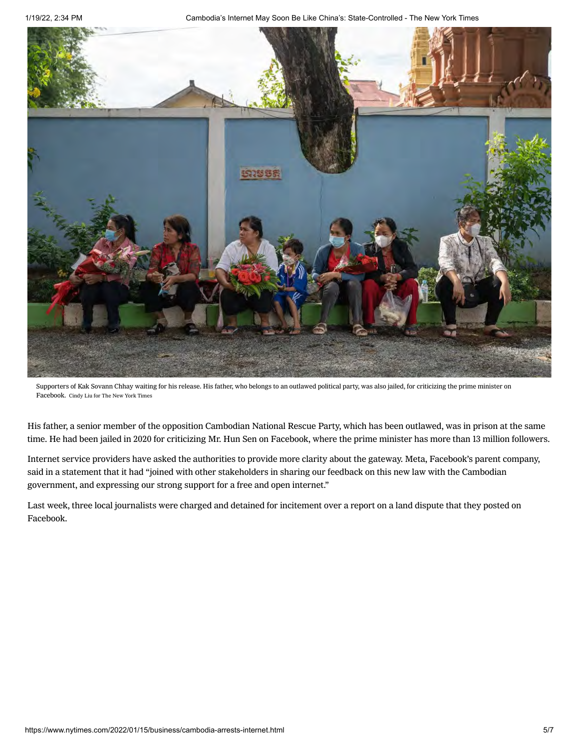1/19/22, 2:34 PM Cambodia's Internet May Soon Be Like China's: State-Controlled - The New York Times



Supporters of Kak Sovann Chhay waiting for his release. His father, who belongs to an outlawed political party, was also jailed, for criticizing the prime minister on Facebook. Cindy Liu for The New York Times

His father, a senior member of the opposition Cambodian National Rescue Party, which has been outlawed, was in prison at the same time. He had been jailed in 2020 for criticizing Mr. Hun Sen on Facebook, where the prime minister [has more than 13 million followers](https://www.nytimes.com/2018/03/17/world/asia/hun-sen-cambodia-china.html).

Internet service providers have asked the authorities to provide more clarity about the gateway. Meta, Facebook's parent company, said in a statement that it had "joined with other stakeholders in sharing our feedback on this new law with the Cambodian government, and expressing our strong support for a free and open internet."

Last week, three local journalists were charged and detained for incitement over a report on a land dispute that they posted on Facebook.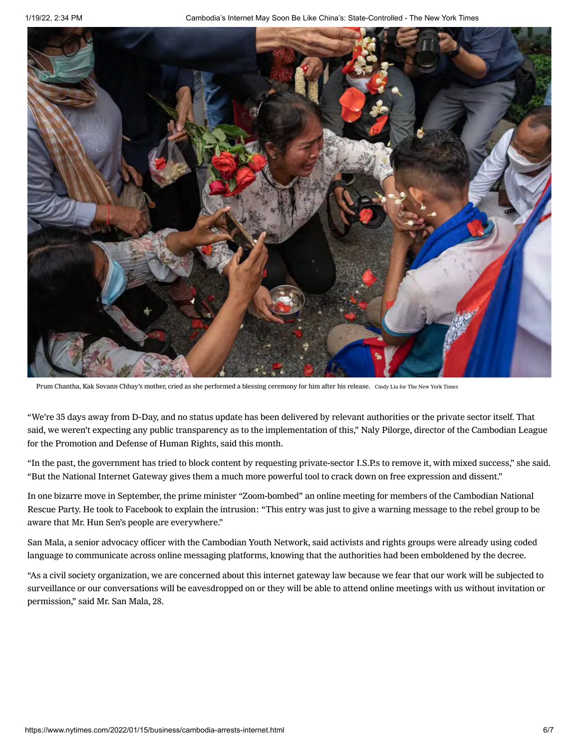

Prum Chantha, Kak Sovann Chhay's mother, cried as she performed a blessing ceremony for him after his release. Cindy Liu for The New York Times

"We're 35 days away from D-Day, and no status update has been delivered by relevant authorities or the private sector itself. That said, we weren't expecting any public transparency as to the implementation of this," Naly Pilorge, director of the Cambodian League for the Promotion and Defense of Human Rights, said this month.

"In the past, the government has tried to block content by requesting private-sector I.S.P.s to remove it, with mixed success," she said. "But the National Internet Gateway gives them a much more powerful tool to crack down on free expression and dissent."

In one bizarre move in September, the [prime minister](https://restofworld.org/2021/cambodia-pm-zoom-calls/) "Zoom-bombed" an online meeting for members of the Cambodian National Rescue Party. He [took to Facebook](https://www.facebook.com/hunsencambodia/posts/4376020302446433?comment_id=4376160239099106&reply_comment_id=244290057618851) to explain the intrusion: "This entry was just to give a warning message to the rebel group to be aware that Mr. Hun Sen's people are everywhere."

San Mala, a senior advocacy officer with the Cambodian Youth Network, said activists and rights groups were already using coded language to communicate across online messaging platforms, knowing that the authorities had been emboldened by the decree.

"As a civil society organization, we are concerned about this internet gateway law because we fear that our work will be subjected to surveillance or our conversations will be eavesdropped on or they will be able to attend online meetings with us without invitation or permission," said Mr. San Mala, 28.